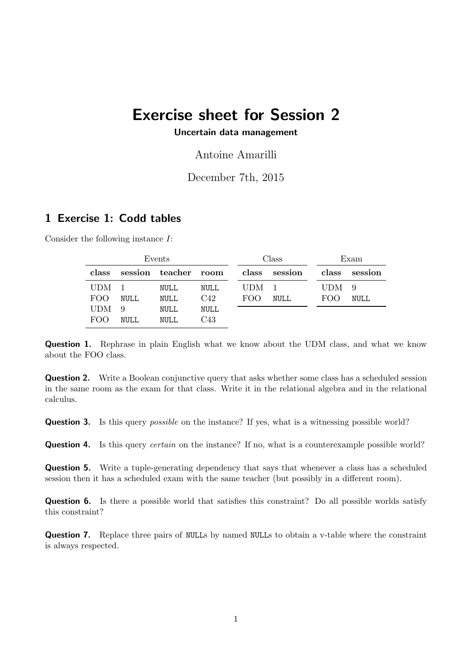# Exercise sheet for Session 2

#### Uncertain data management

Antoine Amarilli

## December 7th, 2015

# 1 Exercise 1: Codd tables

Consider the following instance I:

| Events     |             |                      |      | Class |               |            | Exam    |  |
|------------|-------------|----------------------|------|-------|---------------|------------|---------|--|
| class      |             | session teacher room |      |       | class session | class      | session |  |
| <b>UDM</b> |             | NULL                 | NULL | UDM.  |               | <b>UDM</b> | - 9     |  |
| FOO        | <b>NULL</b> | NULL                 | C42  | FOO   | NULL          | FOO        | NULL.   |  |
| <b>UDM</b> | 9           | NULL                 | NULL |       |               |            |         |  |
| <b>FOO</b> | NULL.       | NULL                 | C43  |       |               |            |         |  |

**Question 1.** Rephrase in plain English what we know about the UDM class, and what we know about the FOO class.

**Question 2.** Write a Boolean conjunctive query that asks whether some class has a scheduled session in the same room as the exam for that class. Write it in the relational algebra and in the relational calculus.

**Question 3.** Is this query *possible* on the instance? If yes, what is a witnessing possible world?

**Question 4.** Is this query *certain* on the instance? If no, what is a counterexample possible world?

Question 5. Write a tuple-generating dependency that says that whenever a class has a scheduled session then it has a scheduled exam with the same teacher (but possibly in a different room).

Question 6. Is there a possible world that satisfies this constraint? Do all possible worlds satisfy this constraint?

Question 7. Replace three pairs of NULLs by named NULLs to obtain a v-table where the constraint is always respected.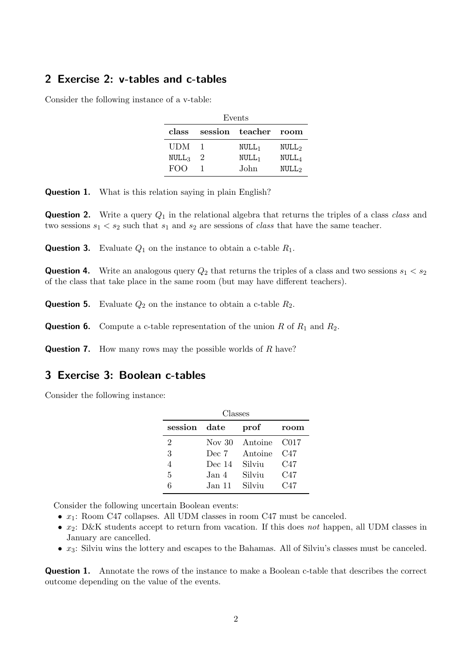# 2 Exercise 2: v-tables and c-tables

Consider the following instance of a v-table:

| Events            |           |                      |                                |  |  |  |  |  |
|-------------------|-----------|----------------------|--------------------------------|--|--|--|--|--|
| class             |           | session teacher room |                                |  |  |  |  |  |
| UDM               |           | $NULL_1$             | NULL <sub>2</sub>              |  |  |  |  |  |
| NULL <sub>3</sub> | $\dot{2}$ | NULL <sub>1</sub>    | $\mathop{\rm NULL}\nolimits_A$ |  |  |  |  |  |
| <b>FOO</b>        |           | John                 | NULL <sub>2</sub>              |  |  |  |  |  |

**Question 1.** What is this relation saying in plain English?

**Question 2.** Write a query  $Q_1$  in the relational algebra that returns the triples of a class class and two sessions  $s_1 < s_2$  such that  $s_1$  and  $s_2$  are sessions of *class* that have the same teacher.

**Question 3.** Evaluate  $Q_1$  on the instance to obtain a c-table  $R_1$ .

**Question 4.** Write an analogous query  $Q_2$  that returns the triples of a class and two sessions  $s_1 < s_2$ of the class that take place in the same room (but may have different teachers).

**Question 5.** Evaluate  $Q_2$  on the instance to obtain a c-table  $R_2$ .

**Question 6.** Compute a c-table representation of the union R of  $R_1$  and  $R_2$ .

**Question 7.** How many rows may the possible worlds of R have?

### 3 Exercise 3: Boolean c-tables

Consider the following instance:

| Classes |          |         |                 |  |  |  |  |  |  |
|---------|----------|---------|-----------------|--|--|--|--|--|--|
| session | date     | prof    | room            |  |  |  |  |  |  |
| 2       | Nov $30$ | Antoine | - C017          |  |  |  |  |  |  |
| 3       | Dec 7    | Antoine | C47             |  |  |  |  |  |  |
| 4       | Dec $14$ | Silviu  | C47             |  |  |  |  |  |  |
| 5       | Jan 4.   | Silviu  | C47             |  |  |  |  |  |  |
| հ       | Jan 11   | Silviu  | C <sub>47</sub> |  |  |  |  |  |  |

Consider the following uncertain Boolean events:

•  $x_1$ : Room C47 collapses. All UDM classes in room C47 must be canceled.

- $x_2$ : D&K students accept to return from vacation. If this does not happen, all UDM classes in January are cancelled.
- $x_3$ : Silviu wins the lottery and escapes to the Bahamas. All of Silviu's classes must be canceled.

Question 1. Annotate the rows of the instance to make a Boolean c-table that describes the correct outcome depending on the value of the events.